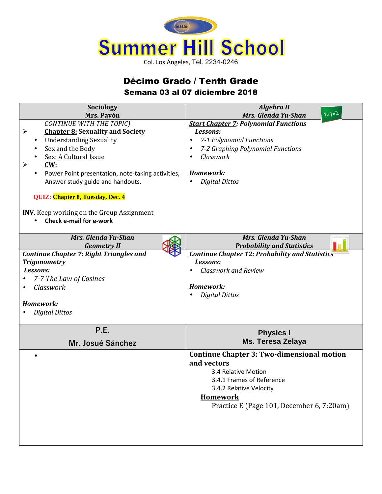

## Décimo Grado / Tenth Grade Semana 03 al 07 diciembre 2018

| Sociology<br>Mrs. Pavón                                                                                                                                                                                                                                                                                                                                                                                                                                  | <b>Algebra II</b><br>$1+1=2$<br>Mrs. Glenda Yu-Shan                                                                                                                                                                 |
|----------------------------------------------------------------------------------------------------------------------------------------------------------------------------------------------------------------------------------------------------------------------------------------------------------------------------------------------------------------------------------------------------------------------------------------------------------|---------------------------------------------------------------------------------------------------------------------------------------------------------------------------------------------------------------------|
| <b>CONTINUE WITH THE TOPIC)</b><br><b>Chapter 8: Sexuality and Society</b><br>$\blacktriangleright$<br><b>Understanding Sexuality</b><br>$\bullet$<br>Sex and the Body<br>Sex: A Cultural Issue<br>CW:<br>$\blacktriangleright$<br>Power Point presentation, note-taking activities,<br>$\bullet$<br>Answer study guide and handouts.<br>QUIZ: Chapter 8, Tuesday, Dec. 4<br>INV. Keep working on the Group Assignment<br><b>Check e-mail for e-work</b> | <b>Start Chapter 7: Polynomial Functions</b><br>Lessons:<br>7-1 Polynomial Functions<br>$\bullet$<br>7-2 Graphing Polynomial Functions<br>$\bullet$<br>Classwork<br>Homework:<br><b>Digital Dittos</b><br>$\bullet$ |
| <b>Mrs. Glenda Yu-Shan</b><br><b>Geometry II</b>                                                                                                                                                                                                                                                                                                                                                                                                         | Mrs. Glenda Yu-Shan<br><b>Probability and Statistics</b>                                                                                                                                                            |
| <b>Continue Chapter 7: Right Triangles and</b><br><b>Trigonometry</b><br>Lessons:<br>7-7 The Law of Cosines<br>Classwork<br>Homework:<br><b>Digital Dittos</b>                                                                                                                                                                                                                                                                                           | <b>Continue Chapter 12: Probability and Statistics</b><br>Lessons:<br><b>Classwork and Review</b><br>Homework:<br><b>Digital Dittos</b>                                                                             |
| P.E.<br>Mr. Josué Sánchez                                                                                                                                                                                                                                                                                                                                                                                                                                | <b>Physics I</b><br><b>Ms. Teresa Zelaya</b>                                                                                                                                                                        |
|                                                                                                                                                                                                                                                                                                                                                                                                                                                          | <b>Continue Chapter 3: Two-dimensional motion</b><br>and vectors<br>3.4 Relative Motion<br>3.4.1 Frames of Reference<br>3.4.2 Relative Velocity<br><b>Homework</b><br>Practice E (Page 101, December 6, 7:20am)     |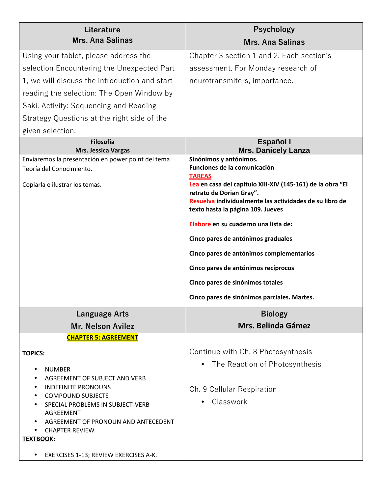| Literature                                                                | Psychology                                                                                   |
|---------------------------------------------------------------------------|----------------------------------------------------------------------------------------------|
| <b>Mrs. Ana Salinas</b>                                                   | <b>Mrs. Ana Salinas</b>                                                                      |
| Using your tablet, please address the                                     | Chapter 3 section 1 and 2. Each section's                                                    |
| selection Encountering the Unexpected Part                                | assessment. For Monday research of                                                           |
| 1, we will discuss the introduction and start                             | neurotransmiters, importance.                                                                |
| reading the selection: The Open Window by                                 |                                                                                              |
| Saki. Activity: Sequencing and Reading                                    |                                                                                              |
| Strategy Questions at the right side of the                               |                                                                                              |
| given selection.                                                          |                                                                                              |
| <b>Filosofía</b>                                                          | <b>Español I</b>                                                                             |
| Mrs. Jessica Vargas<br>Enviaremos la presentación en power point del tema | <b>Mrs. Danicely Lanza</b><br>Sinónimos y antónimos.                                         |
| Teoría del Conocimiento.                                                  | Funciones de la comunicación                                                                 |
| Copiarla e ilustrar los temas.                                            | <b>TAREAS</b><br>Lea en casa del capítulo XIII-XIV (145-161) de la obra "El                  |
|                                                                           | retrato de Dorian Gray".                                                                     |
|                                                                           | Resuelva individualmente las actividades de su libro de<br>texto hasta la página 109. Jueves |
|                                                                           | Elabore en su cuaderno una lista de:                                                         |
|                                                                           | Cinco pares de antónimos graduales                                                           |
|                                                                           | Cinco pares de antónimos complementarios                                                     |
|                                                                           | Cinco pares de antónimos recíprocos                                                          |
|                                                                           | Cinco pares de sinónimos totales                                                             |
|                                                                           | Cinco pares de sinónimos parciales. Martes.                                                  |
| Language Arts                                                             | <b>Biology</b>                                                                               |
| Mr. Nelson Avilez                                                         | Mrs. Belinda Gámez                                                                           |
| <b>CHAPTER 5: AGREEMENT</b>                                               |                                                                                              |
| <b>TOPICS:</b>                                                            | Continue with Ch. 8 Photosynthesis                                                           |
| <b>NUMBER</b>                                                             | The Reaction of Photosynthesis                                                               |
| AGREEMENT OF SUBJECT AND VERB                                             |                                                                                              |
| <b>INDEFINITE PRONOUNS</b>                                                | Ch. 9 Cellular Respiration                                                                   |
| <b>COMPOUND SUBJECTS</b><br>SPECIAL PROBLEMS IN SUBJECT-VERB              | Classwork                                                                                    |
| <b>AGREEMENT</b>                                                          |                                                                                              |
| AGREEMENT OF PRONOUN AND ANTECEDENT<br><b>CHAPTER REVIEW</b>              |                                                                                              |
| <b>TEXTBOOK:</b>                                                          |                                                                                              |
| EXERCISES 1-13; REVIEW EXERCISES A-K.                                     |                                                                                              |